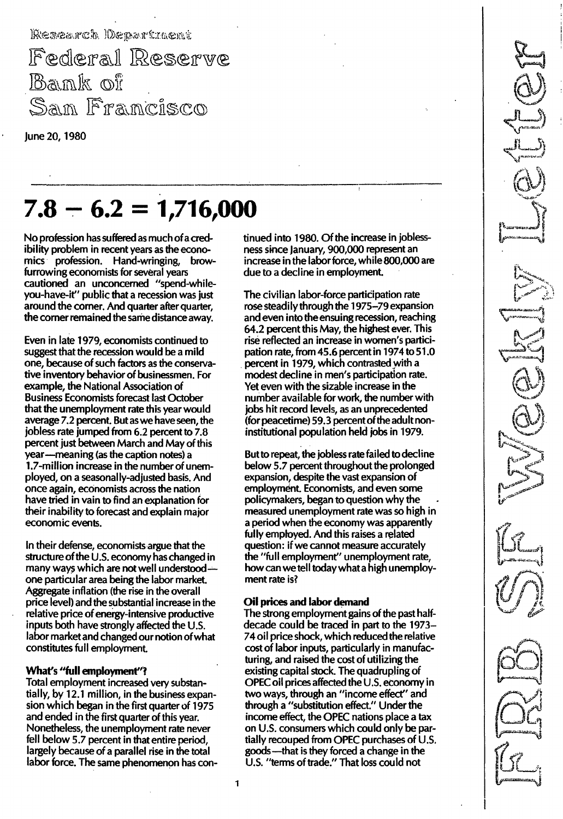Research Oepartment

Federal Reserve Bank of Sam Francisco

June 20, 19BO

# $7.8 - 6.2 = 1,716,000$

No profession has suffered as much of a credibility problem in recent years as the economics profession. Hand-wringing, browfurrowing economists for several years cautioned an unconcerned "spend-whileyou-have-it" public that a recession was just around the corner. And quarter after quarter, the corner remained the same distance away.

Even in late 1979, economists continued to suggest that the recession would be a mild one, because of such factors as the conservative inventory behavior of businessmen. For example, the National Association of Business Economists forecast last October that the unemployment rate this year would average 7.2 percent. But as we have seen, the jobless rate jumped from 6.2 percent to 7.B percent just between March and May of this year-meaning (as the caption notes) a l.7-million increase in the number of unemployed, on a seasonally-adjusted basis. And once again, economists across the nation have tried in vain to find an explanation for their inability to forecast and explain major economic events.

In their defense, economists argue that the structure of the U.S. economy has changed in many ways which are not well understoodone particular area being the labor market. Aggregate inflation (the rise in the overall price level) and the substantial increase in the relative price of energy-intensive productive inputs both have strongly affected the U.S. labor market and changed our notion of what constitutes full employment.

## What's "full employment"?

Total employment increased very substantially, by 12.1 million, in the business expansion which began in the first quarter of 1975 and ended in the first quarter of this year. Nonetheless, the unemployment rate never fell below 5.7 percent in that entire period, largely because of a parallel rise in the total labor force. The same phenomenon has continued into 1980. Of the increase in joblessness since January, 900,000 represent an increase in the labor force, while 800,000 are due to a decline in employment.

The civilian labor-force participation rate rose steadily through the 1975-79 expansion and even into the ensuing recession, reaching 64.2 percent this May, the highest ever. This rise reflected an increase in women's participation rate, from 45.6 percent in 1974 to 51.0 percent in 1979, which contrasted with a modest decline in men's participation rate. Yet even with the sizable increase in the number available for work, the number with jobs hit record levels, as an unprecedented (for peacetime) 59.3 percent of the adult noninstitutional population held jobs in 1979.

But to repeat, the jobless rate failed to decline below 5.7 percent throughout the prolonged expansion, despite the vast expansion of employment. Economists, and even some policymakers, began to question why the measured unemployment rate was so high in a period when the economy was apparently fully employed. And this raises a related question: if we cannot measure accurately the "full employment" unemployment rate, how can we tell today what a high unemployment rate is?

### Oil prices and labor demand

The strong employment gains of the past halfdecade could be traced in part to the 1973-74 oil price shock, which reduced the relative cost of labor inputs, particularly in manufacturing, and raised the cost of utilizing the existing capital stock. The quadrupling of OPEC oil prices affected the U.S. economy in two ways, through an "income effect" and through a "substitution effect." Under the income effect, the OPEC nations place a tax on U.s. consumers which could only be partially recouped from OPEC purchases of U.S. goods-that is they forced a change in the U.S. "terms of trade." That loss could not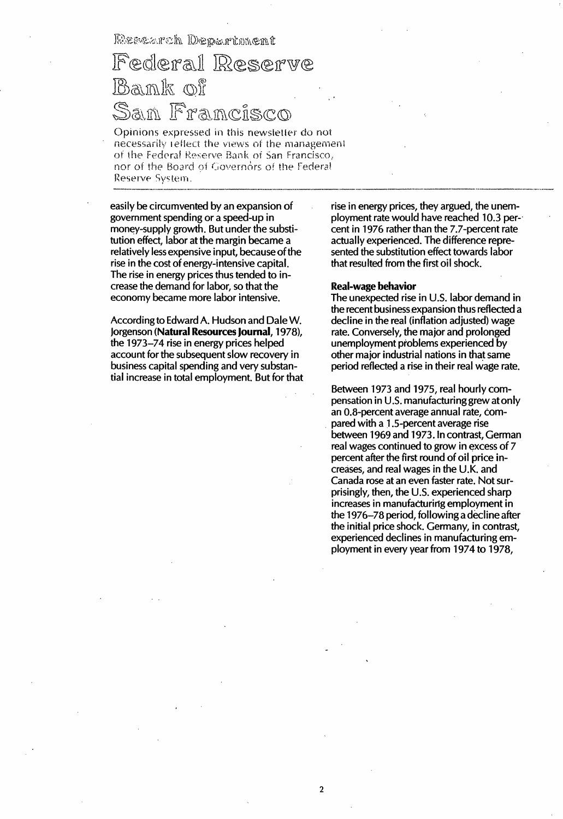Rescarch Department

Federal Reserve Bank of <u>San Francisco</u>

Opinions expressed in this newsletter do not necessarily reflect the views of the management of the Federal Reserve Bank of San Francisco, nor of the Board of Governors of the Federal Reserve System.

easily be circumvented by an expansion of government spending or a speed-up in money-supply growth. But under the substitution effect, labor at the margin became a relatively less expensive input, because of the rise in the cost of energy-intensive capital. The rise in energy prices thus tended to increase the demand for labor, so that the economy became more labor intensive.

According to Edward A. Hudson and Dale W. Jorgenson (Natural Resources Journal, 1978), the 1973–74 rise in energy prices helped account for the subsequent slow recovery in business capital spending and very substantial increase in total employment. But for that rise in energy prices, they argued, the unemployment rate would have reached 10.3 percent in 1976 rather than the 7.7-percent rate actually experienced. The difference represented the substitution effect towards labor that resulted from the first oil shock.

#### Real-wage behavior

2

The unexpected rise in U.S. labor demand in the recent business expansion thus reflected a decline in the real (inflation adjusted) wage rate. Conversely, the major and prolonged unemployment problems experienced by other major industrial nations in that same period reflected a rise in their real wage rate.

Between 1973 and 1975, real hourly compensation in U.S. manufacturing grew atonly an O. B-percent average annual rate, compared with a 1.5-percent average rise between 1969 and 1973. In contrast, German real wages continued to grow in excess of 7 percent after the first round of oil price increases, and real wages in the U. K. and Canada rose at an even faster rate. Not surprisingly, then, the U.S. experienced sharp increases in manufacturing employment in the 1976-78 period, following a decline after the initial price shock. Germany, in contrast, experienced declines in manufacturing employment in every year from 1974 to 1978,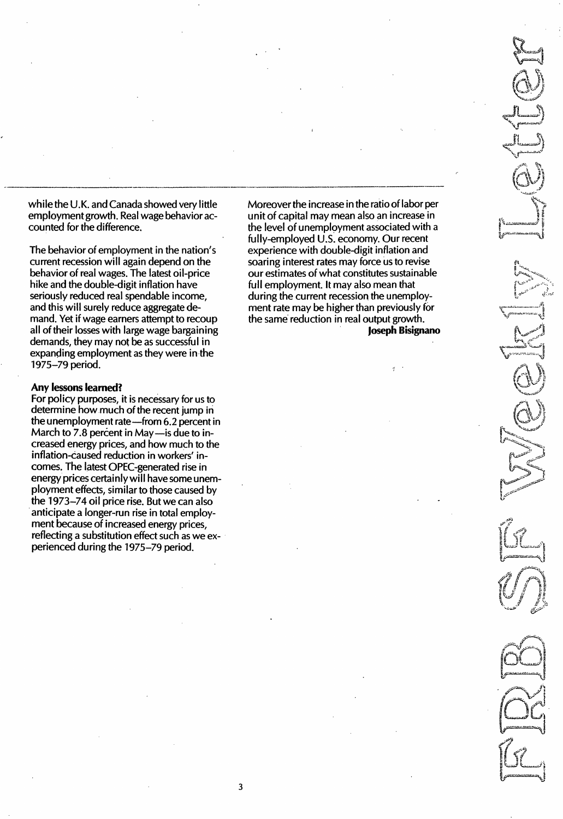while the U.K. and Canada showed very little employment growth. Real wage behavior accounted for the difference.

The behavior of employment in the nation's current recession will again depend on the behavior of real wages. The latest oil-price hike and the double-digit inflation have seriously reduced real spendable income, and this will surely reduce aggregate demand. Yet if wage earners attempt to recoup all of their losses with large wage bargaining demands, they may not be as successful in expanding employment as they were in the 1975-79 period.

#### Any lessons learned?

For policy purposes, it is necessary for us to determine how much of the recent jump in the unemployment rate -- from 6.2 percent in March to 7.8 percent in May-is due to increased energy prices, and how much to the inflation-caused reduction in workers' incomes. The latest OPEC-generated rise in energy prices certainly will have some unemployment effects, similar to those caused by the 1973-74 oil price rise. But we can also anticipate a longer-run rise in total employment because of increased energy prices, reflecting a substitution effect such as we experienced during the 1975-79 period.

Moreover the increase in the ratio of labor per unit of capital may mean also an increase in the level of unemployment associated with a fully-employed U.S. economy. Our recent experience with double-digit inflation and soaring interest rates may force us to revise our estimates of what constitutes sustainable full employment. It may also mean that during the current recession the unemployment rate may be higher than previously for the same reduction in real output growth. Joseph Bisignano